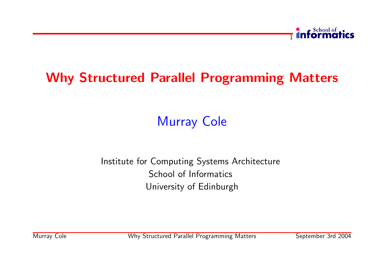

# Why Structured Parallel Programming Matters

# Murray Cole

#### Institute for Computing Systems Architecture School of Informatics University of Edinburgh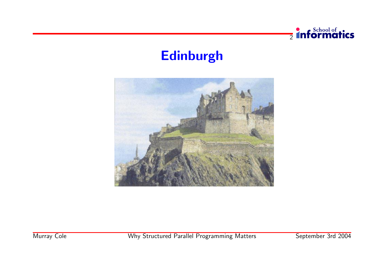

### Edinburgh

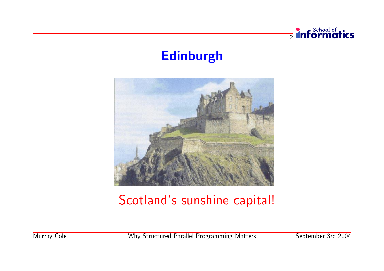

### Edinburgh



# Scotland's sunshine capital!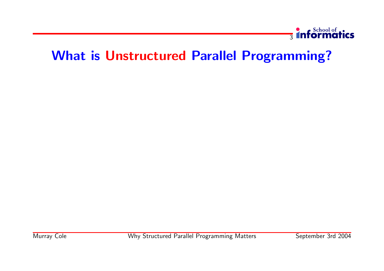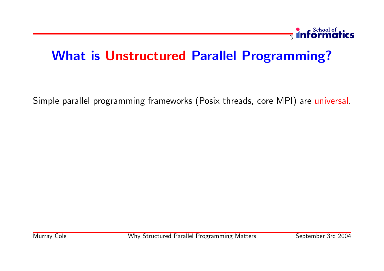

Simple parallel programming frameworks (Posix threads, core MPI) are universal.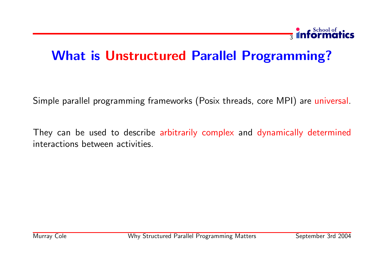

Simple parallel programming frameworks (Posix threads, core MPI) are universal.

They can be used to describe arbitrarily complex and dynamically determined interactions between activities.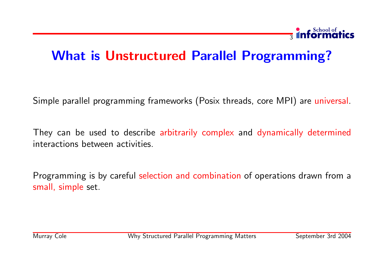### **3** informatics

# What is Unstructured Parallel Programming?

Simple parallel programming frameworks (Posix threads, core MPI) are universal.

They can be used to describe arbitrarily complex and dynamically determined interactions between activities.

Programming is by careful selection and combination of operations drawn from a small, simple set.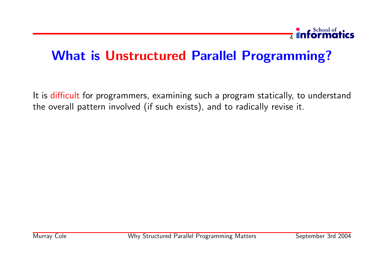

It is difficult for programmers, examining such a program statically, to understand the overall pattern involved (if such exists), and to radically revise it.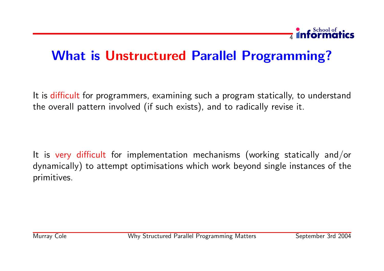

It is difficult for programmers, examining such a program statically, to understand the overall pattern involved (if such exists), and to radically revise it.

It is very difficult for implementation mechanisms (working statically and/or dynamically) to attempt optimisations which work beyond single instances of the primitives.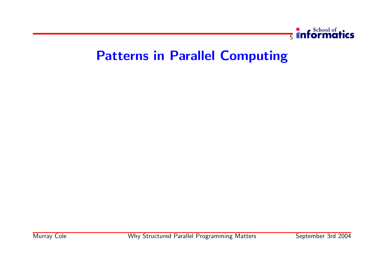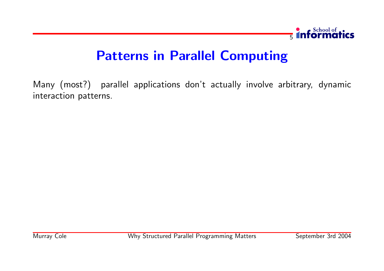

Many (most?) parallel applications don't actually involve arbitrary, dynamic interaction patterns.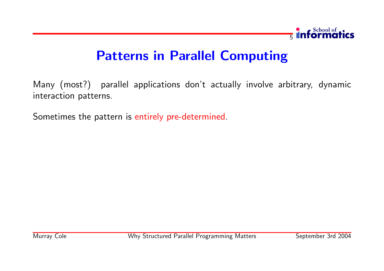

Many (most?) parallel applications don't actually involve arbitrary, dynamic interaction patterns.

Sometimes the pattern is entirely pre-determined.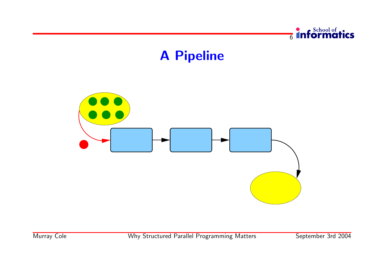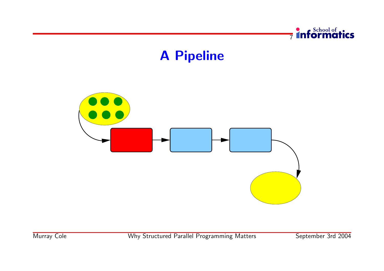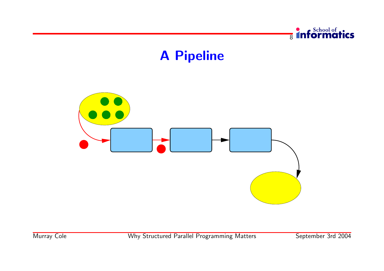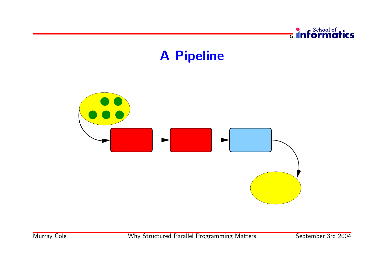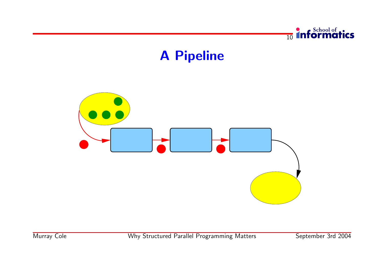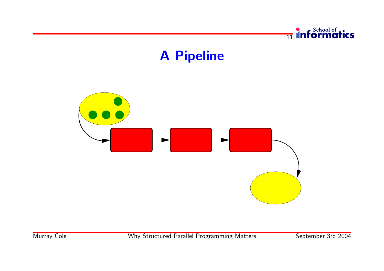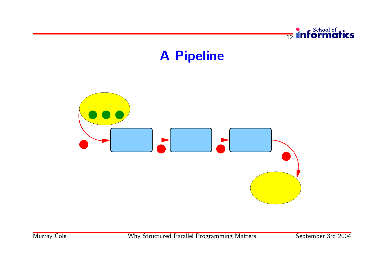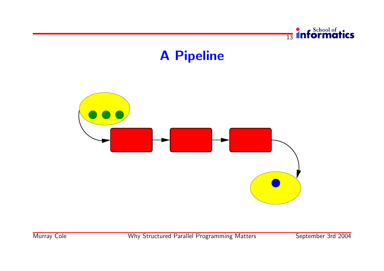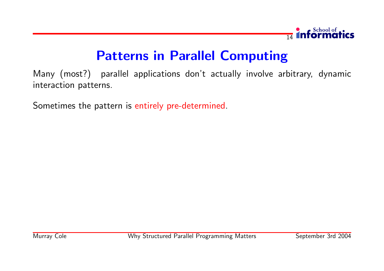

Many (most?) parallel applications don't actually involve arbitrary, dynamic interaction patterns.

Sometimes the pattern is entirely pre-determined.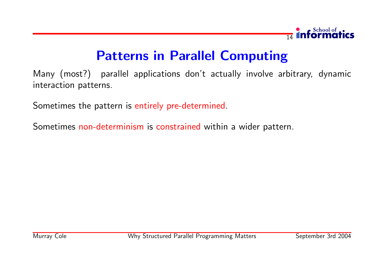

Many (most?) parallel applications don't actually involve arbitrary, dynamic interaction patterns.

Sometimes the pattern is entirely pre-determined.

Sometimes non-determinism is constrained within a wider pattern.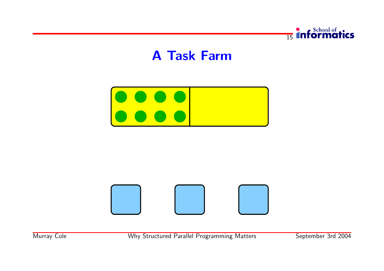



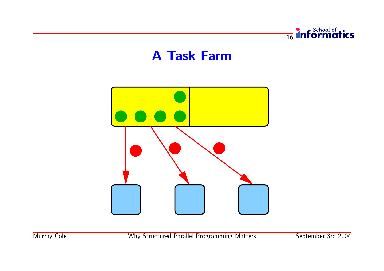

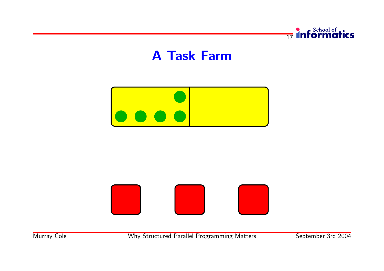



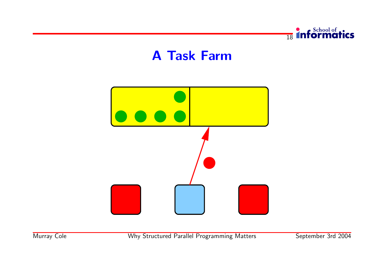

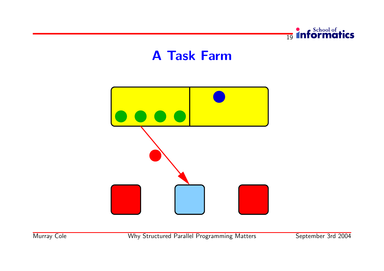

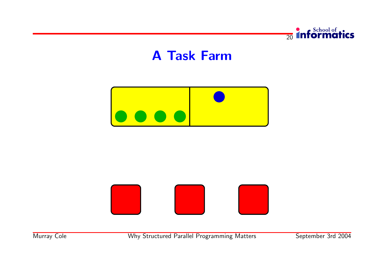



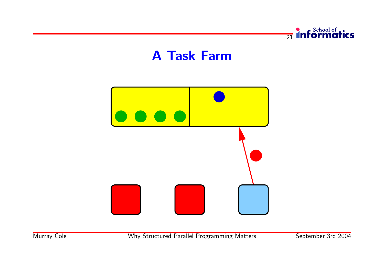

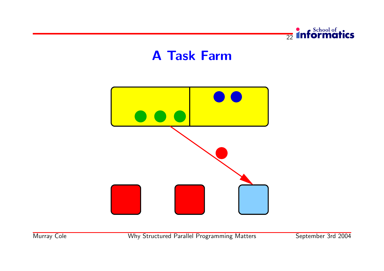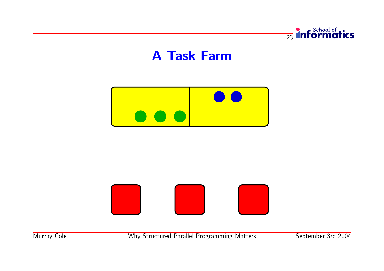



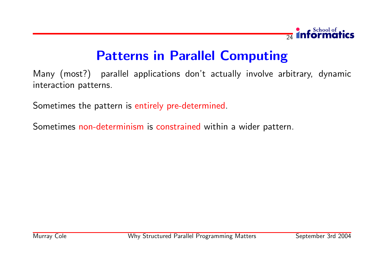

Many (most?) parallel applications don't actually involve arbitrary, dynamic interaction patterns.

Sometimes the pattern is entirely pre-determined.

Sometimes non-determinism is constrained within a wider pattern.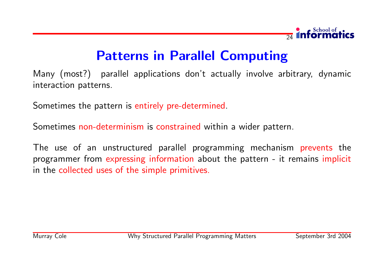

Many (most?) parallel applications don't actually involve arbitrary, dynamic interaction patterns.

Sometimes the pattern is entirely pre-determined.

Sometimes non-determinism is constrained within a wider pattern.

The use of an unstructured parallel programming mechanism prevents the programmer from expressing information about the pattern - it remains implicit in the collected uses of the simple primitives.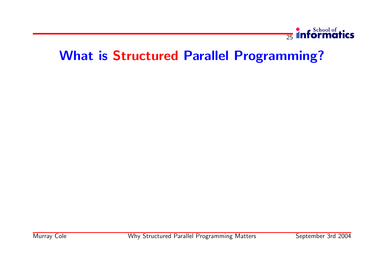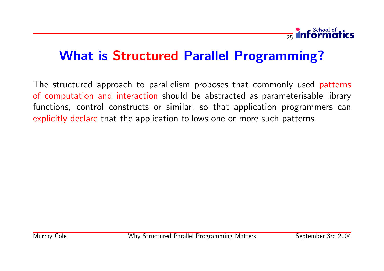

The structured approach to parallelism proposes that commonly used patterns of computation and interaction should be abstracted as parameterisable library functions, control constructs or similar, so that application programmers can explicitly declare that the application follows one or more such patterns.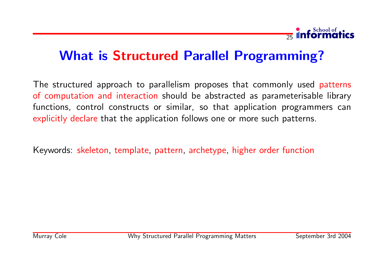

The structured approach to parallelism proposes that commonly used patterns of computation and interaction should be abstracted as parameterisable library functions, control constructs or similar, so that application programmers can explicitly declare that the application follows one or more such patterns.

Keywords: skeleton, template, pattern, archetype, higher order function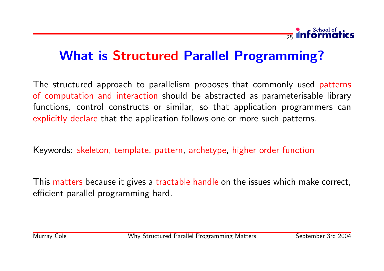

### What is Structured Parallel Programming?

The structured approach to parallelism proposes that commonly used patterns of computation and interaction should be abstracted as parameterisable library functions, control constructs or similar, so that application programmers can explicitly declare that the application follows one or more such patterns.

Keywords: skeleton, template, pattern, archetype, higher order function

This matters because it gives a tractable handle on the issues which make correct, efficient parallel programming hard.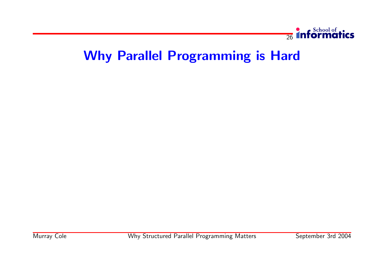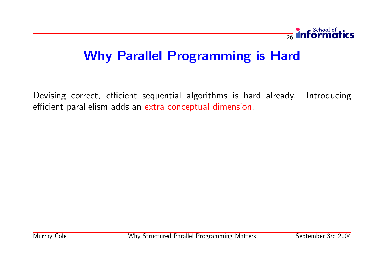

Devising correct, efficient sequential algorithms is hard already. Introducing efficient parallelism adds an extra conceptual dimension.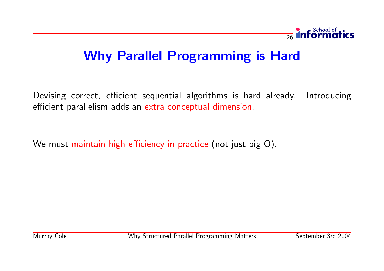

Devising correct, efficient sequential algorithms is hard already. Introducing efficient parallelism adds an extra conceptual dimension.

We must maintain high efficiency in practice (not just big O).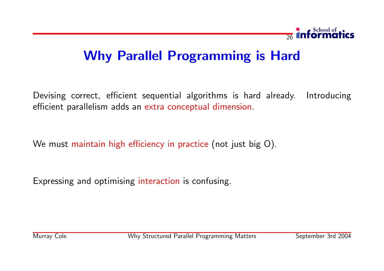

Devising correct, efficient sequential algorithms is hard already. Introducing efficient parallelism adds an extra conceptual dimension.

We must maintain high efficiency in practice (not just big O).

Expressing and optimising interaction is confusing.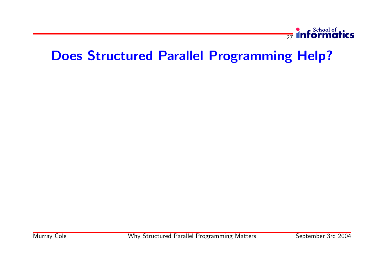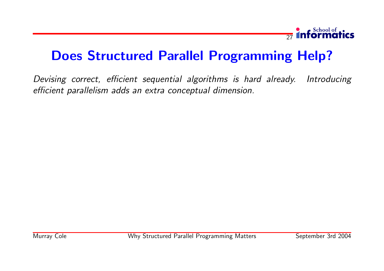

Devising correct, efficient sequential algorithms is hard already. Introducing efficient parallelism adds an extra conceptual dimension.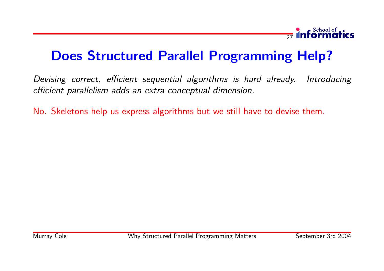

Devising correct, efficient sequential algorithms is hard already. Introducing efficient parallelism adds an extra conceptual dimension.

No. Skeletons help us express algorithms but we still have to devise them.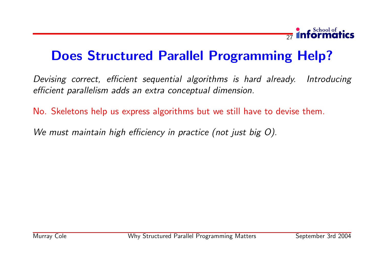

Devising correct, efficient sequential algorithms is hard already. Introducing efficient parallelism adds an extra conceptual dimension.

No. Skeletons help us express algorithms but we still have to devise them.

We must maintain high efficiency in practice (not just big O).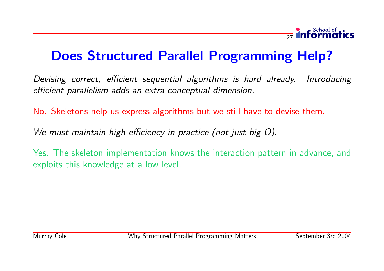

Devising correct, efficient sequential algorithms is hard already. Introducing efficient parallelism adds an extra conceptual dimension.

No. Skeletons help us express algorithms but we still have to devise them.

We must maintain high efficiency in practice (not just big O).

Yes. The skeleton implementation knows the interaction pattern in advance, and exploits this knowledge at a low level.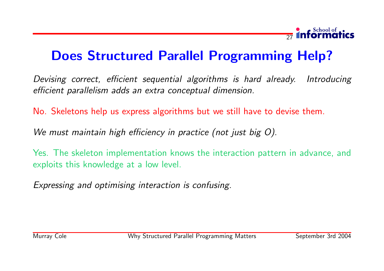

Devising correct, efficient sequential algorithms is hard already. Introducing efficient parallelism adds an extra conceptual dimension.

No. Skeletons help us express algorithms but we still have to devise them.

We must maintain high efficiency in practice (not just big O).

Yes. The skeleton implementation knows the interaction pattern in advance, and exploits this knowledge at a low level.

Expressing and optimising interaction is confusing.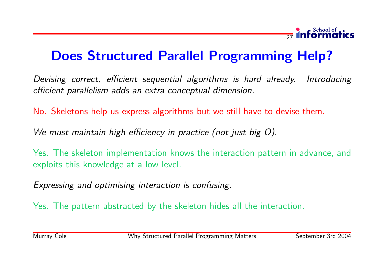

Devising correct, efficient sequential algorithms is hard already. Introducing efficient parallelism adds an extra conceptual dimension.

No. Skeletons help us express algorithms but we still have to devise them.

We must maintain high efficiency in practice (not just big O).

Yes. The skeleton implementation knows the interaction pattern in advance, and exploits this knowledge at a low level.

Expressing and optimising interaction is confusing.

Yes. The pattern abstracted by the skeleton hides all the interaction.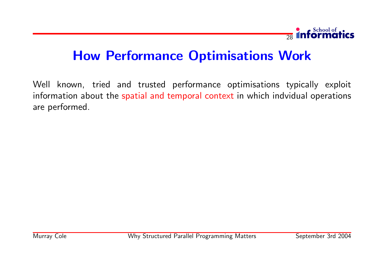

Well known, tried and trusted performance optimisations typically exploit information about the spatial and temporal context in which indvidual operations are performed.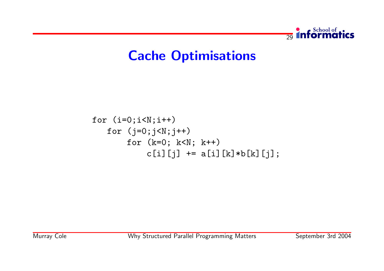

### Cache Optimisations

```
for (i=0; i < N; i++)for (j=0; j < N; j++)for (k=0; k<N; k++)
           c[i][j] += a[i][k]*b[k][j];
```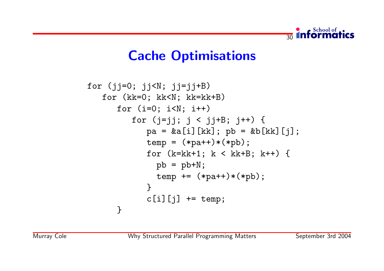

# Cache Optimisations

```
for (jj=0; jj<N; jj=jj+B)
   for (kk=0; kk<N; kk=kk+B)
      for (i=0; i< N; i++)for (i=j; j < j+B; j++) {
            pa = &a[i][kk]; pb = &b[kk][jk];temp = (*pa++)*(*pb);for (k=kk+1; k < kk+B; k++) {
              pb = pb + N;
              temp += (*pa++)*(*pb);
            }
            c[i][j] += temp;
      }
```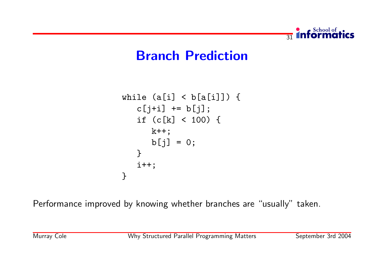

#### Branch Prediction

```
while (a[i] < b[a[i]]) {
   c[j+i] += b[j];
   if (c[k] < 100) {
     k++;b[j] = 0;}
   i++;
}
```
Performance improved by knowing whether branches are "usually" taken.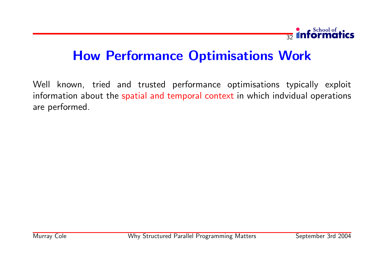

Well known, tried and trusted performance optimisations typically exploit information about the spatial and temporal context in which indvidual operations are performed.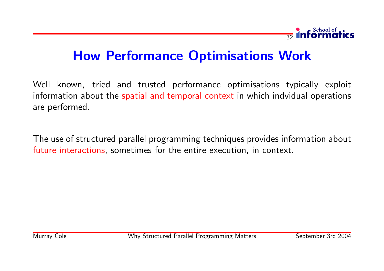

Well known, tried and trusted performance optimisations typically exploit information about the spatial and temporal context in which indvidual operations are performed.

The use of structured parallel programming techniques provides information about future interactions, sometimes for the entire execution, in context.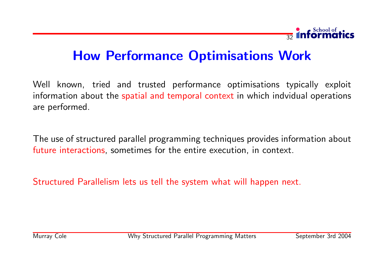

Well known, tried and trusted performance optimisations typically exploit information about the spatial and temporal context in which indvidual operations are performed.

The use of structured parallel programming techniques provides information about future interactions, sometimes for the entire execution, in context.

Structured Parallelism lets us tell the system what will happen next.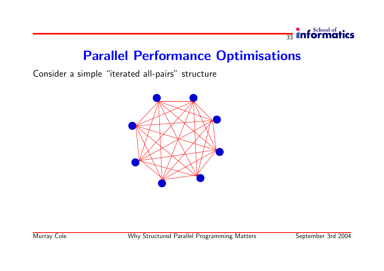

Consider a simple "iterated all-pairs" structure

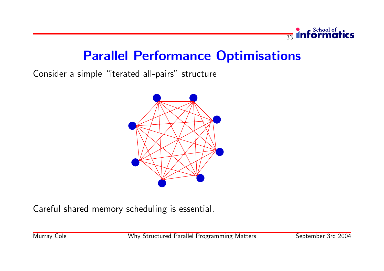

Consider a simple "iterated all-pairs" structure



Careful shared memory scheduling is essential.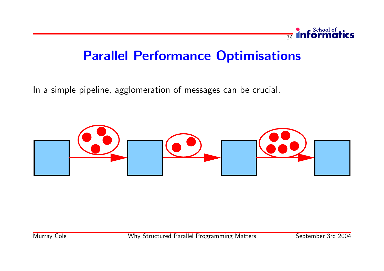

In a simple pipeline, agglomeration of messages can be crucial.

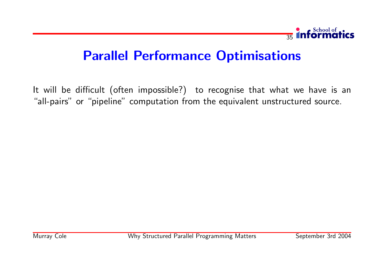

It will be difficult (often impossible?) to recognise that what we have is an "all-pairs" or "pipeline" computation from the equivalent unstructured source.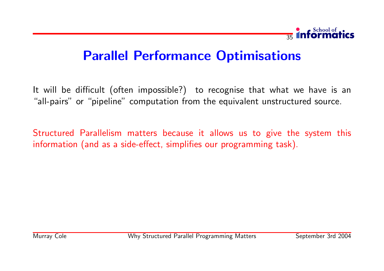

It will be difficult (often impossible?) to recognise that what we have is an "all-pairs" or "pipeline" computation from the equivalent unstructured source.

Structured Parallelism matters because it allows us to give the system this information (and as a side-effect, simplifies our programming task).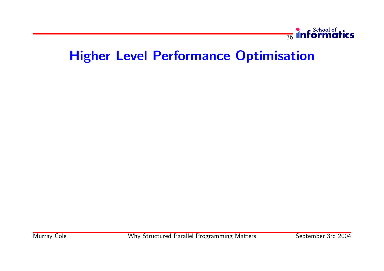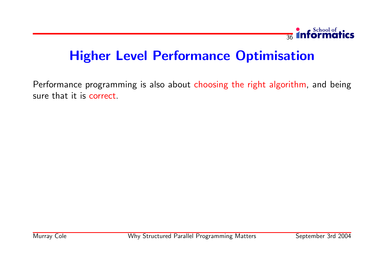

Performance programming is also about choosing the right algorithm, and being sure that it is correct.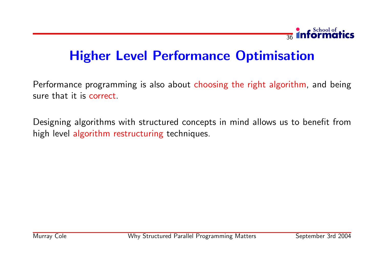

Performance programming is also about choosing the right algorithm, and being sure that it is correct.

Designing algorithms with structured concepts in mind allows us to benefit from high level algorithm restructuring techniques.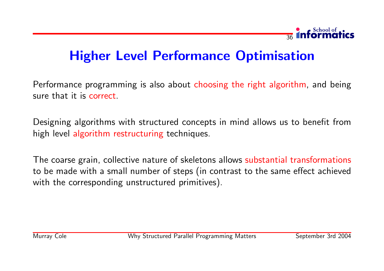

Performance programming is also about choosing the right algorithm, and being sure that it is correct.

Designing algorithms with structured concepts in mind allows us to benefit from high level algorithm restructuring techniques.

The coarse grain, collective nature of skeletons allows substantial transformations to be made with a small number of steps (in contrast to the same effect achieved with the corresponding unstructured primitives).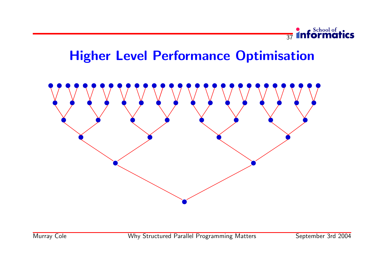

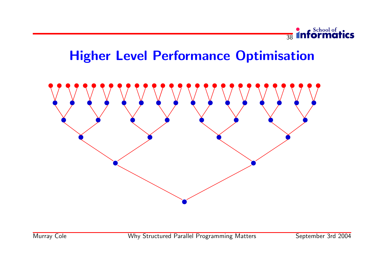

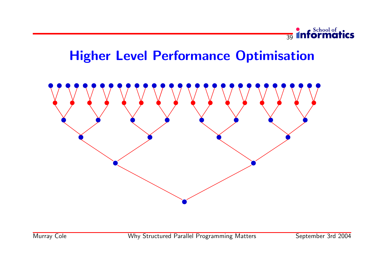

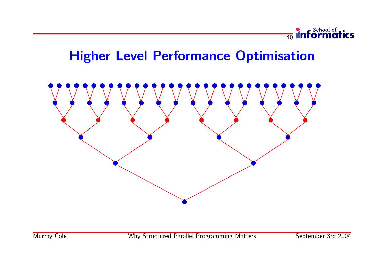

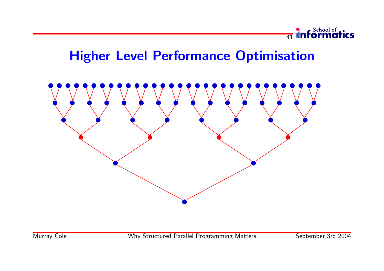

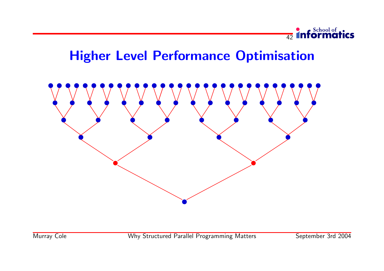

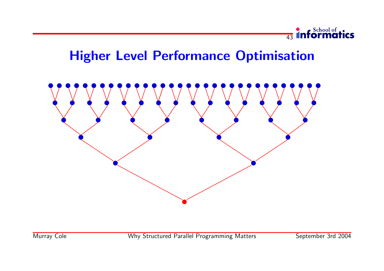

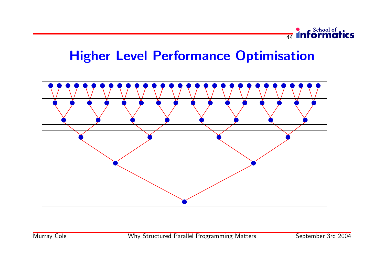

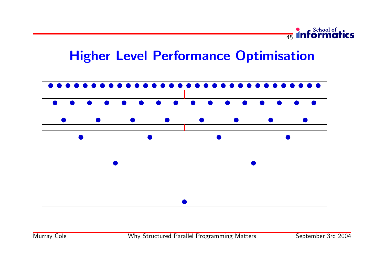

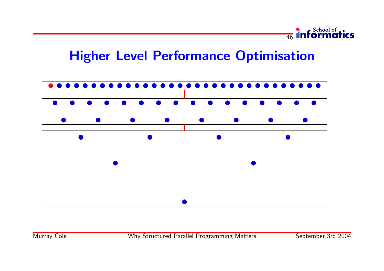

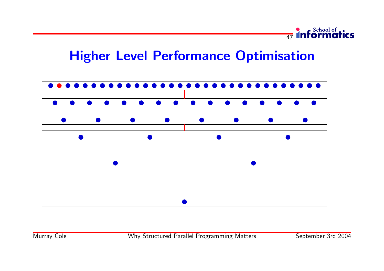

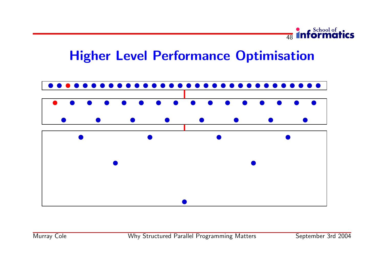

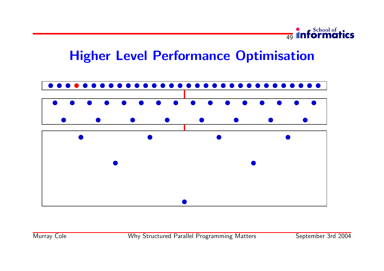

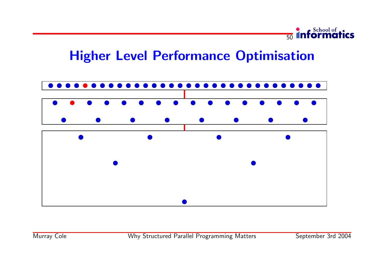

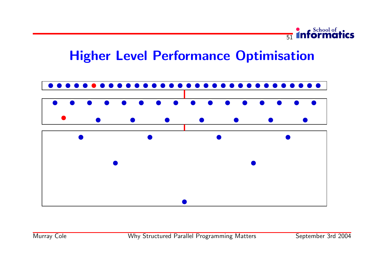

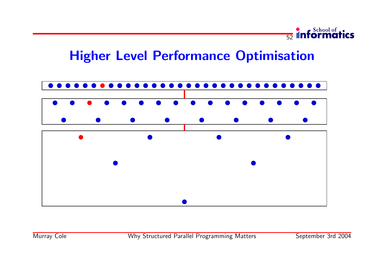

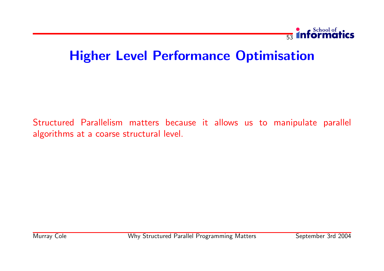

Structured Parallelism matters because it allows us to manipulate parallel algorithms at a coarse structural level.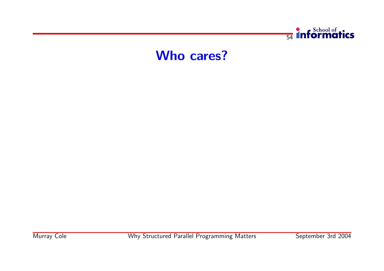

#### Who cares?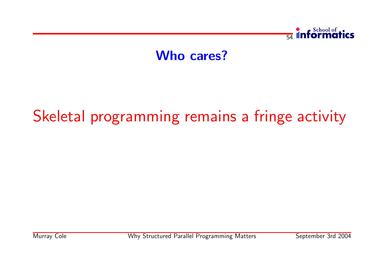

## Who cares?

# Skeletal programming remains a fringe activity

Murray Cole **Why Structured Parallel Programming Matters** September 3rd 2004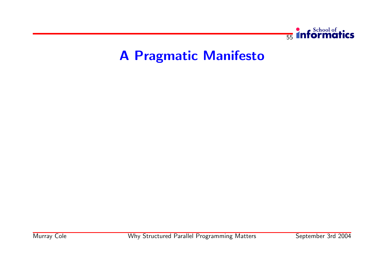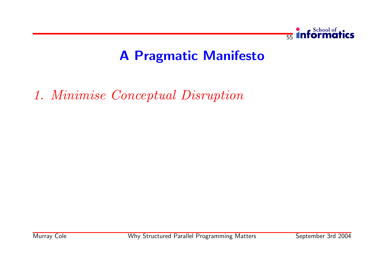

1. Minimise Conceptual Disruption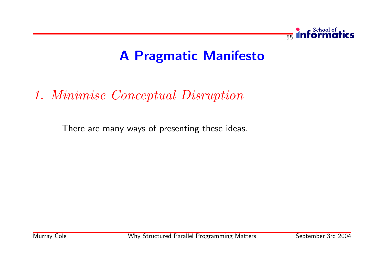

# 1. Minimise Conceptual Disruption

There are many ways of presenting these ideas.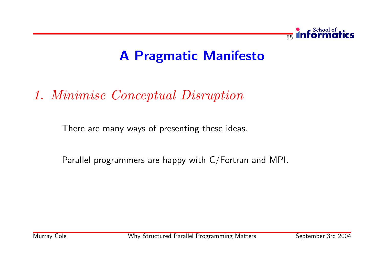

# 1. Minimise Conceptual Disruption

There are many ways of presenting these ideas.

Parallel programmers are happy with C/Fortran and MPI.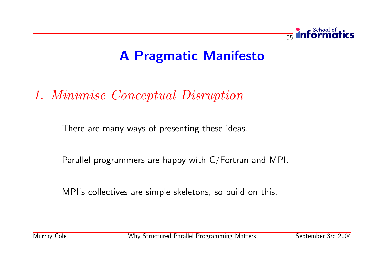

# 1. Minimise Conceptual Disruption

There are many ways of presenting these ideas.

Parallel programmers are happy with C/Fortran and MPI.

MPI's collectives are simple skeletons, so build on this.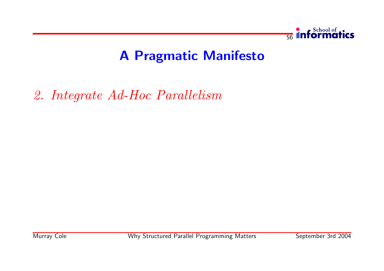

2. Integrate Ad-Hoc Parallelism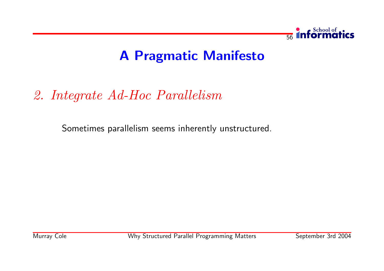

# 2. Integrate Ad-Hoc Parallelism

Sometimes parallelism seems inherently unstructured.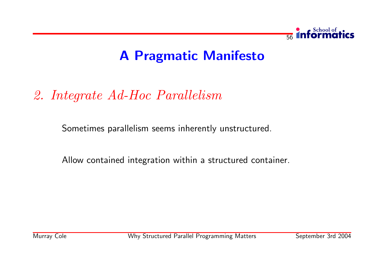

# 2. Integrate Ad-Hoc Parallelism

Sometimes parallelism seems inherently unstructured.

Allow contained integration within a structured container.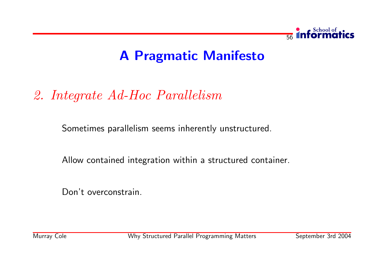

# 2. Integrate Ad-Hoc Parallelism

Sometimes parallelism seems inherently unstructured.

Allow contained integration within a structured container.

Don't overconstrain.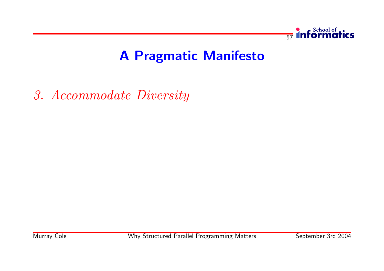

3. Accommodate Diversity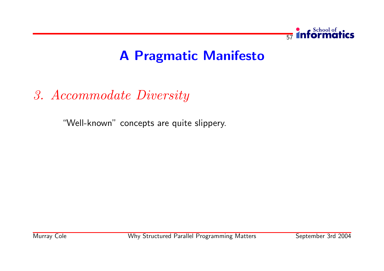

3. Accommodate Diversity

"Well-known" concepts are quite slippery.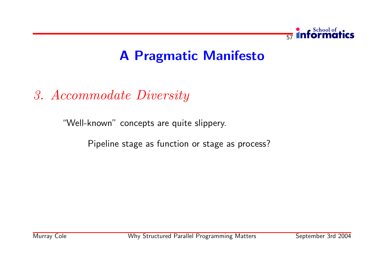

3. Accommodate Diversity

"Well-known" concepts are quite slippery.

Pipeline stage as function or stage as process?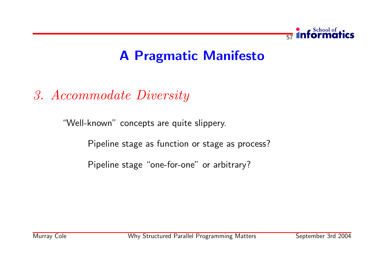

3. Accommodate Diversity

"Well-known" concepts are quite slippery.

Pipeline stage as function or stage as process?

Pipeline stage "one-for-one" or arbitrary?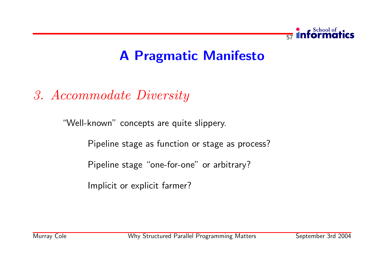

# 3. Accommodate Diversity

"Well-known" concepts are quite slippery.

Pipeline stage as function or stage as process?

Pipeline stage "one-for-one" or arbitrary?

Implicit or explicit farmer?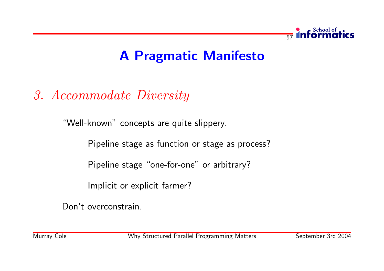

# 3. Accommodate Diversity

"Well-known" concepts are quite slippery.

Pipeline stage as function or stage as process?

Pipeline stage "one-for-one" or arbitrary?

Implicit or explicit farmer?

Don't overconstrain.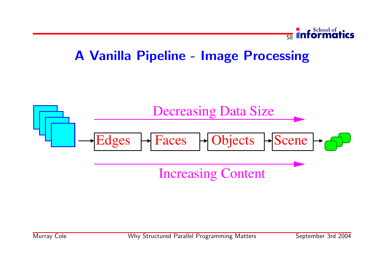

## A Vanilla Pipeline - Image Processing

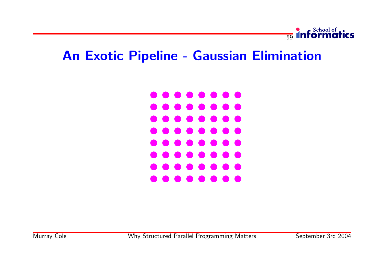

## An Exotic Pipeline - Gaussian Elimination

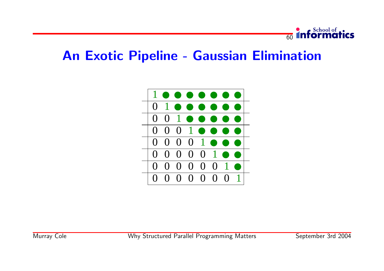

## An Exotic Pipeline - Gaussian Elimination

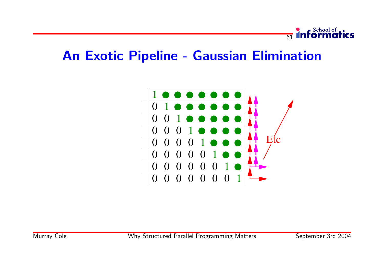

## An Exotic Pipeline - Gaussian Elimination

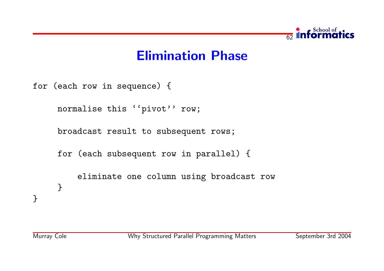

for (each row in sequence) {

normalise this ''pivot'' row;

broadcast result to subsequent rows;

for (each subsequent row in parallel) {

eliminate one column using broadcast row } }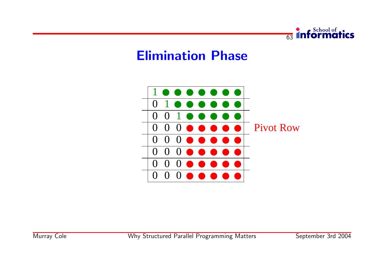

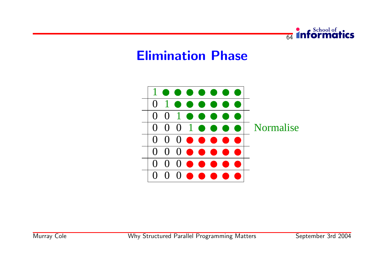

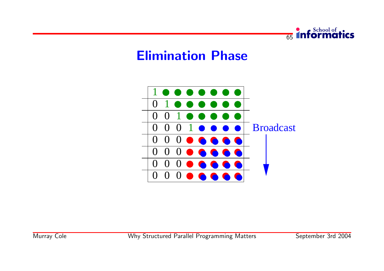

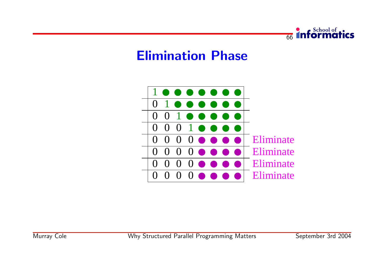

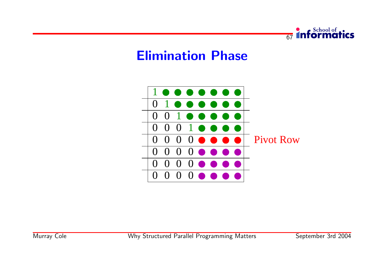

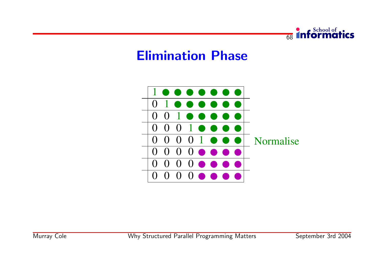

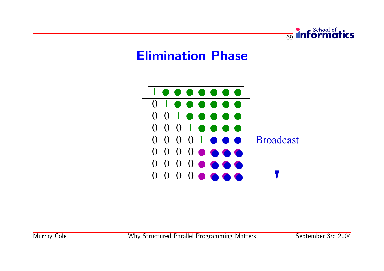



Murray Cole

Why Structured Parallel Programming Matters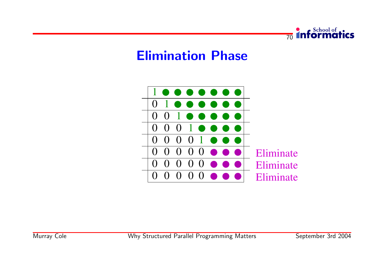

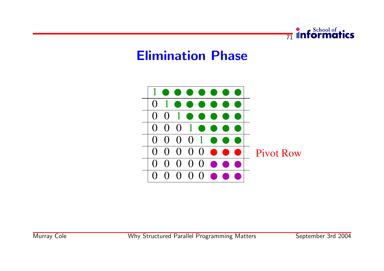

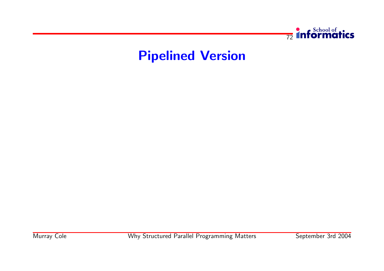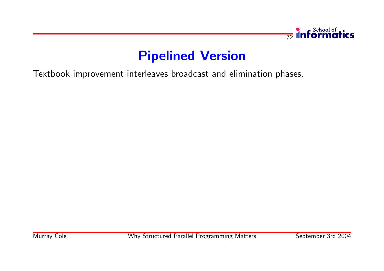

Textbook improvement interleaves broadcast and elimination phases.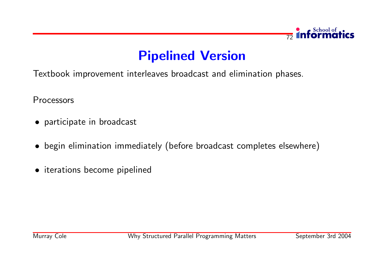

Textbook improvement interleaves broadcast and elimination phases.

Processors

- participate in broadcast
- begin elimination immediately (before broadcast completes elsewhere)
- iterations become pipelined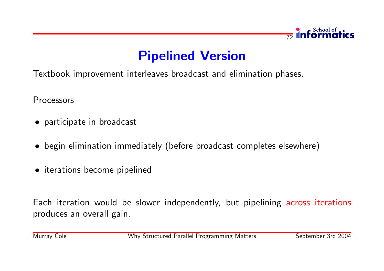

Textbook improvement interleaves broadcast and elimination phases.

Processors

- participate in broadcast
- begin elimination immediately (before broadcast completes elsewhere)
- iterations become pipelined

Each iteration would be slower independently, but pipelining across iterations produces an overall gain.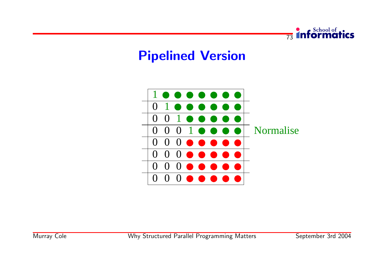

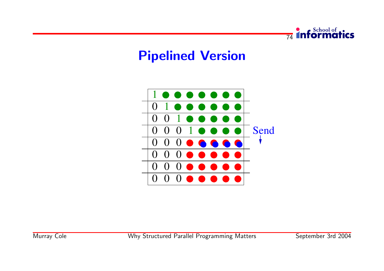

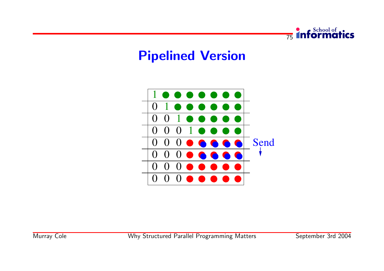

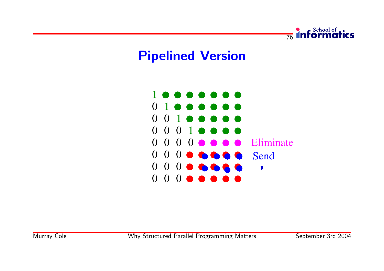

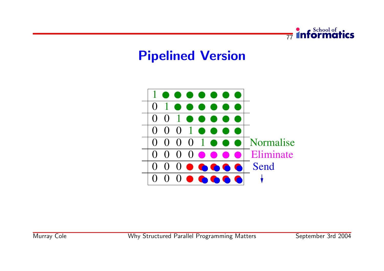

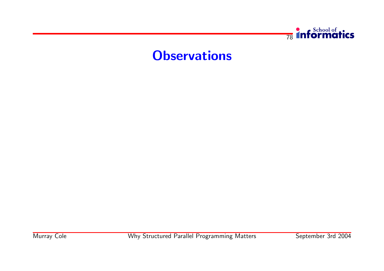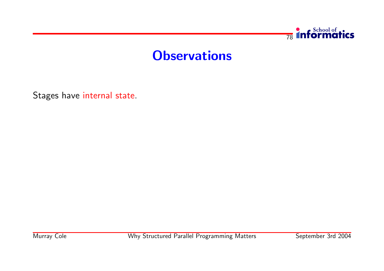

Stages have internal state.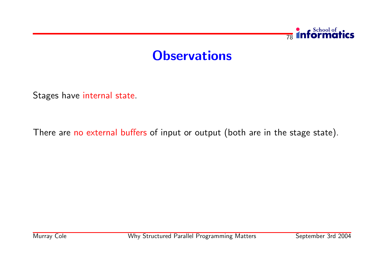

Stages have internal state.

There are no external buffers of input or output (both are in the stage state).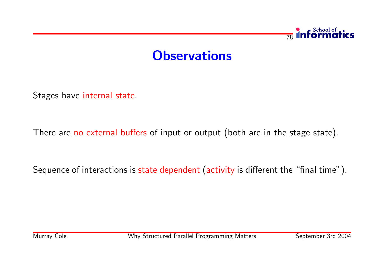

Stages have internal state.

There are no external buffers of input or output (both are in the stage state).

Sequence of interactions is state dependent (activity is different the "final time").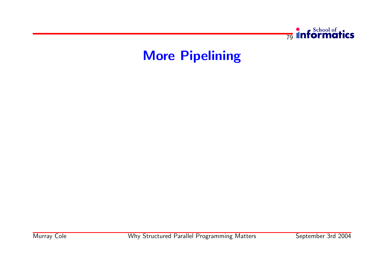

## More Pipelining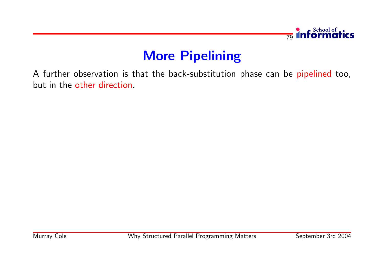

## More Pipelining

A further observation is that the back-substitution phase can be pipelined too, but in the other direction.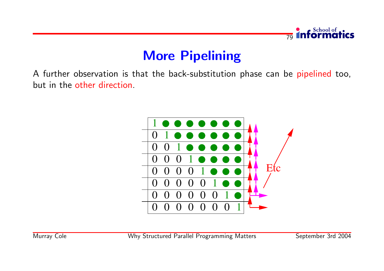

## **More Pipelining**

A further observation is that the back-substitution phase can be pipelined too, but in the other direction.

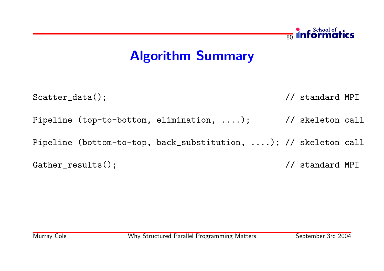# Algorithm Summary

Scatter\_data();  $\sqrt{2}$  // standard MPI Pipeline (top-to-bottom, elimination, ....); // skeleton call Pipeline (bottom-to-top, back\_substitution, ....); // skeleton call Gather\_results();  $\sqrt{2}$  // standard MPI

 $\overline{80}$ 

**Informatics**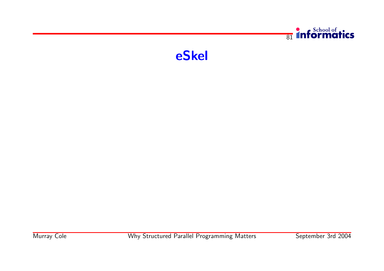

eSkel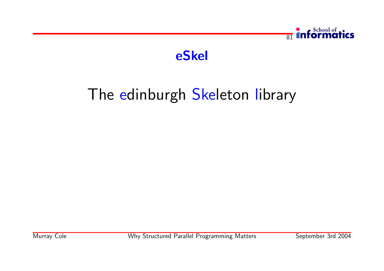

## eSkel

## The edinburgh Skeleton library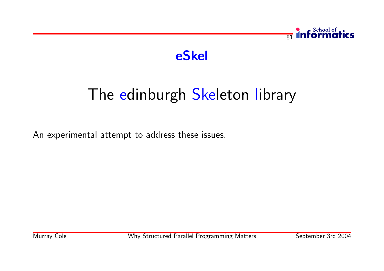

## eSkel

# The edinburgh Skeleton library

An experimental attempt to address these issues.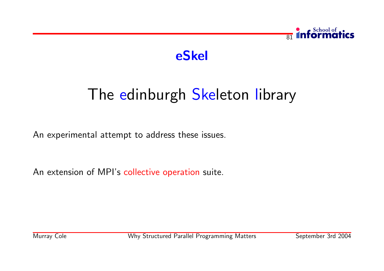



# The edinburgh Skeleton library

An experimental attempt to address these issues.

An extension of MPI's collective operation suite.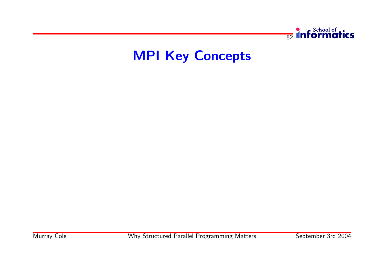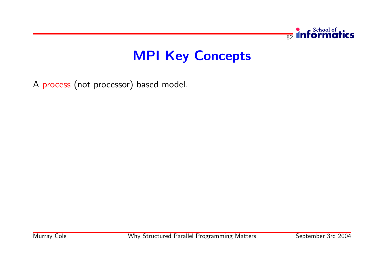

A process (not processor) based model.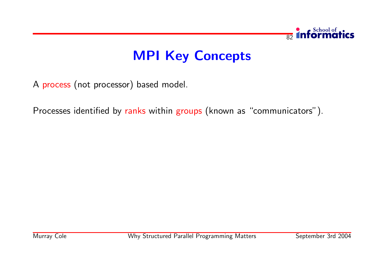

A process (not processor) based model.

Processes identified by ranks within groups (known as "communicators").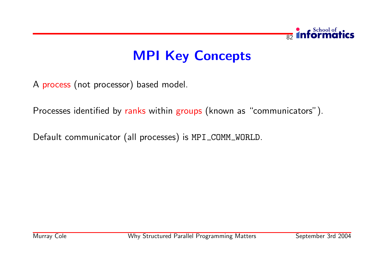

A process (not processor) based model.

Processes identified by ranks within groups (known as "communicators").

Default communicator (all processes) is MPI\_COMM\_WORLD.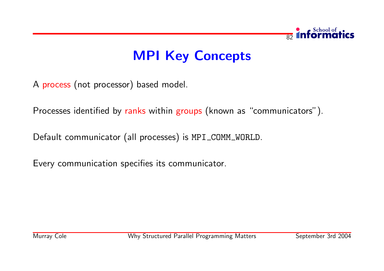

A process (not processor) based model.

Processes identified by ranks within groups (known as "communicators").

Default communicator (all processes) is MPI\_COMM\_WORLD.

Every communication specifies its communicator.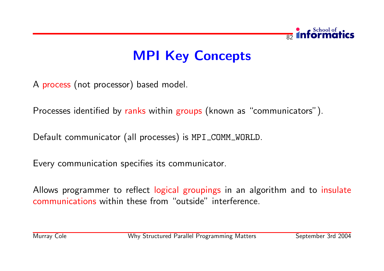

A process (not processor) based model.

Processes identified by ranks within groups (known as "communicators").

Default communicator (all processes) is MPI\_COMM\_WORLD.

Every communication specifies its communicator.

Allows programmer to reflect logical groupings in an algorithm and to insulate communications within these from "outside" interference.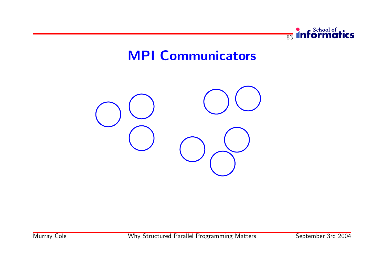

#### MPI Communicators

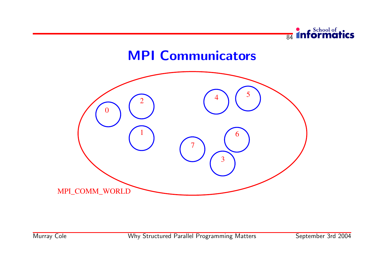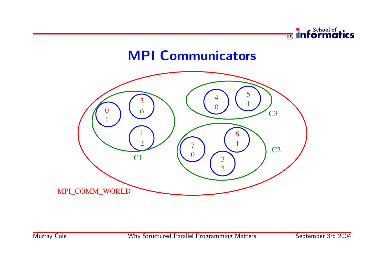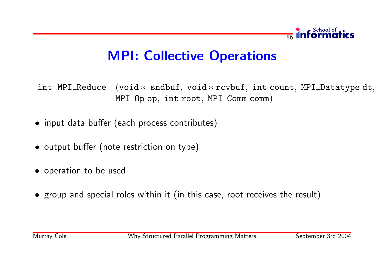

## MPI: Collective Operations

int MPI Reduce (void \* sndbuf, void \* rcvbuf, int count, MPI Datatype dt, MPI\_Op op, int root, MPI\_Comm comm)

- input data buffer (each process contributes)
- output buffer (note restriction on type)
- operation to be used
- group and special roles within it (in this case, root receives the result)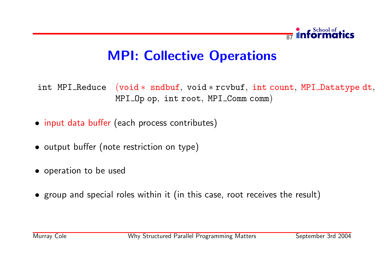

## MPI: Collective Operations

int MPI Reduce (void \* sndbuf, void \* rcvbuf, int count, MPI Datatype dt, MPI\_Op op, int root, MPI\_Comm comm)

- input data buffer (each process contributes)
- output buffer (note restriction on type)
- operation to be used
- group and special roles within it (in this case, root receives the result)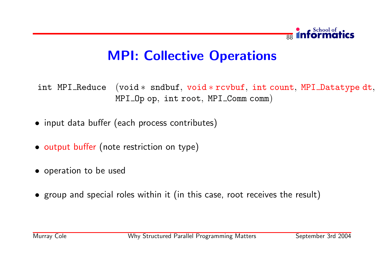

## MPI: Collective Operations

int MPI Reduce (void \* sndbuf, void \* rcvbuf, int count, MPI Datatype dt, MPI\_Op op, int root, MPI\_Comm comm)

- input data buffer (each process contributes)
- output buffer (note restriction on type)
- operation to be used
- group and special roles within it (in this case, root receives the result)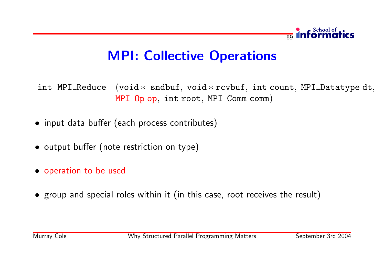

# MPI: Collective Operations

int MPI Reduce (void \* sndbuf, void \* rcvbuf, int count, MPI Datatype dt, MPI\_Op op, int root, MPI\_Comm comm)

- input data buffer (each process contributes)
- output buffer (note restriction on type)
- operation to be used
- group and special roles within it (in this case, root receives the result)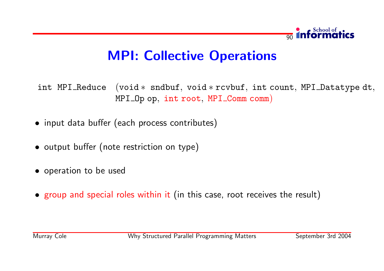

# MPI: Collective Operations

int MPI Reduce (void \* sndbuf, void \* rcvbuf, int count, MPI Datatype dt, MPI\_Op op, int root, MPI\_Comm comm)

- input data buffer (each process contributes)
- output buffer (note restriction on type)
- operation to be used
- group and special roles within it (in this case, root receives the result)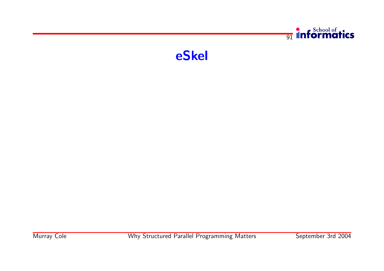

eSkel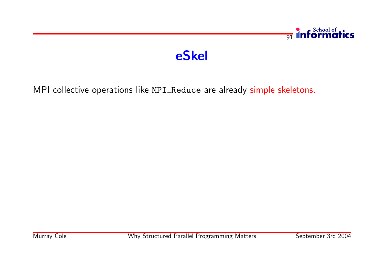# eSkel

MPI collective operations like MPI\_Reduce are already simple skeletons.

 $\frac{1}{91}$  informatics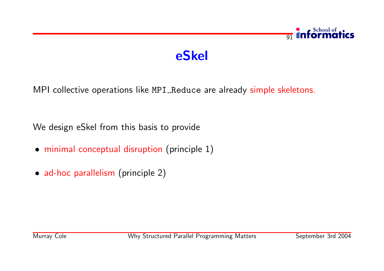# eSkel

MPI collective operations like MPI\_Reduce are already simple skeletons.

We design eSkel from this basis to provide

- minimal conceptual disruption (principle 1)
- ad-hoc parallelism (principle 2)

 $\overline{q_1}$ 

**Informatics**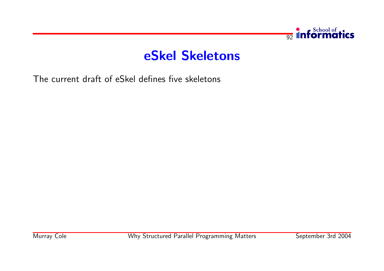

#### eSkel Skeletons

The current draft of eSkel defines five skeletons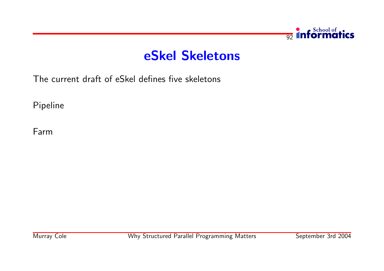

#### eSkel Skeletons

The current draft of eSkel defines five skeletons

Pipeline

Farm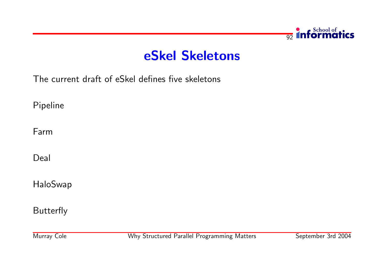

#### eSkel Skeletons

The current draft of eSkel defines five skeletons

Pipeline

Farm

Deal

HaloSwap

Butterfly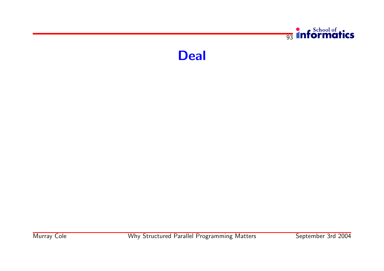

Deal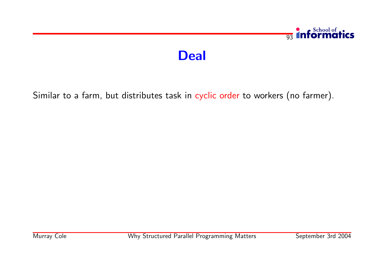# Deal

Similar to a farm, but distributes task in cyclic order to workers (no farmer).

 $\frac{1}{93}$  informatics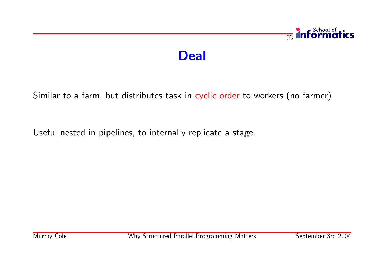## $\frac{1}{93}$  informatics

#### Deal

Similar to a farm, but distributes task in cyclic order to workers (no farmer).

Useful nested in pipelines, to internally replicate a stage.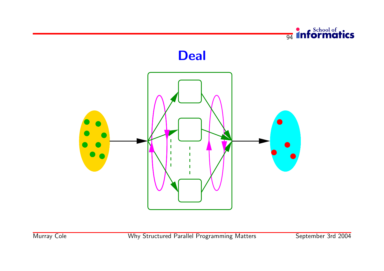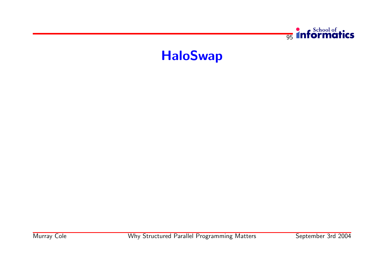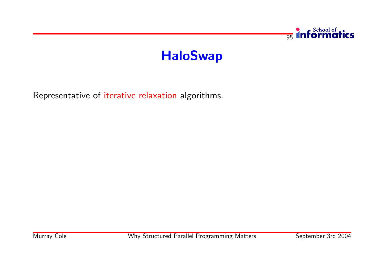

Representative of iterative relaxation algorithms.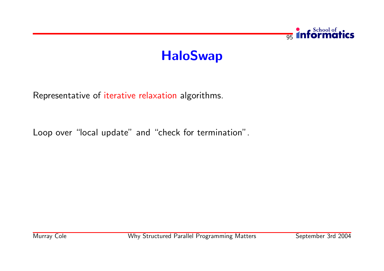

Representative of iterative relaxation algorithms.

Loop over "local update" and "check for termination".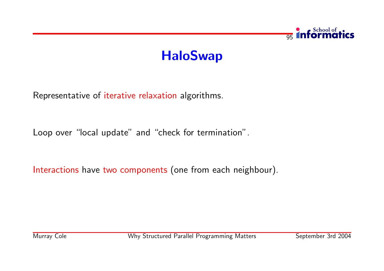

Representative of iterative relaxation algorithms.

Loop over "local update" and "check for termination".

Interactions have two components (one from each neighbour).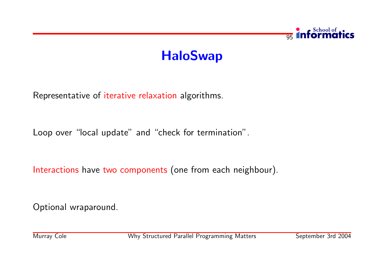

Representative of iterative relaxation algorithms.

Loop over "local update" and "check for termination".

Interactions have two components (one from each neighbour).

Optional wraparound.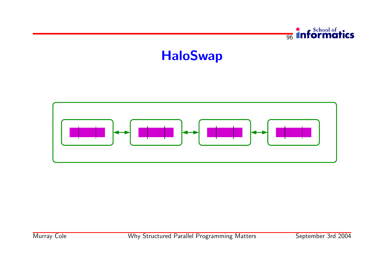

 $\frac{1}{96}$  informatics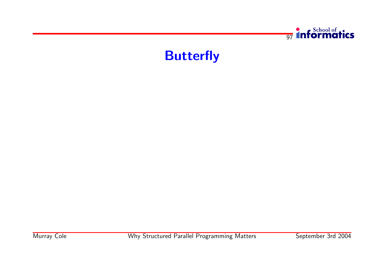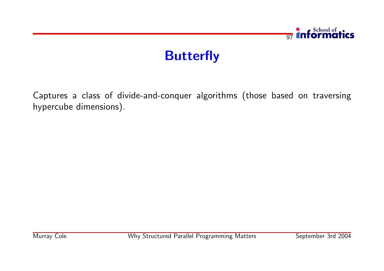

Captures a class of divide-and-conquer algorithms (those based on traversing hypercube dimensions).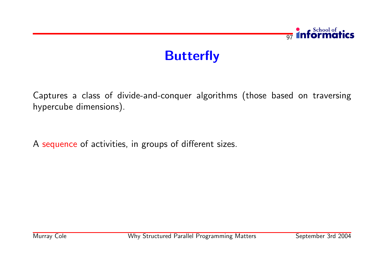

Captures a class of divide-and-conquer algorithms (those based on traversing hypercube dimensions).

A sequence of activities, in groups of different sizes.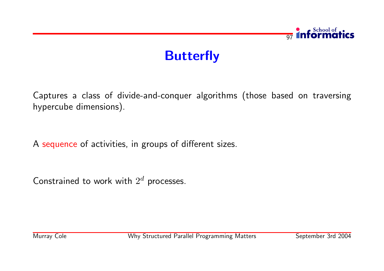

Captures a class of divide-and-conquer algorithms (those based on traversing hypercube dimensions).

A sequence of activities, in groups of different sizes.

Constrained to work with  $2^d$  processes.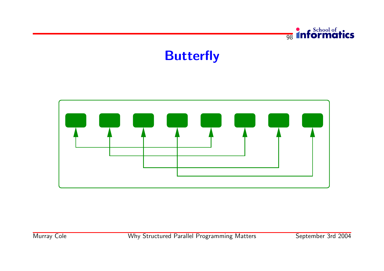

**98** Informatics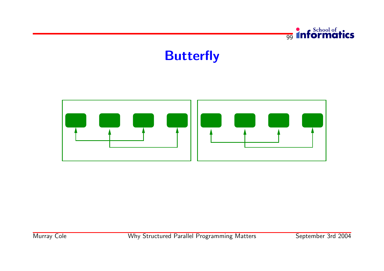

<sub>99</sub> Informatics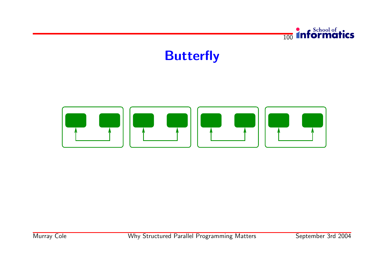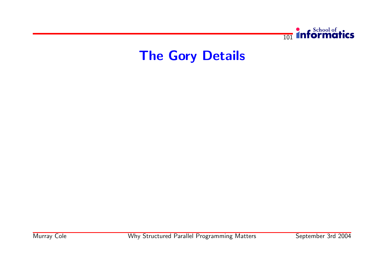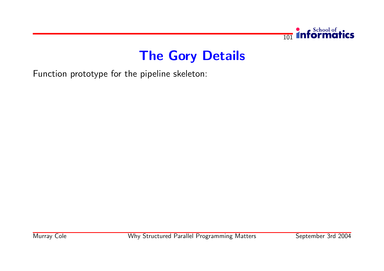

Function prototype for the pipeline skeleton: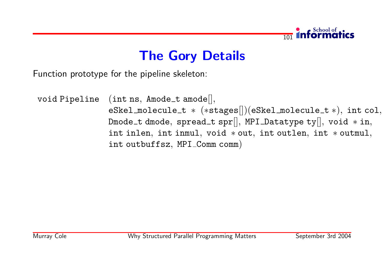

Function prototype for the pipeline skeleton:

void Pipeline (int ns, Amode\_t amode[], eSkel\_molecule\_t \* (\*stages[])(eSkel\_molecule\_t \*), int col, Dmode\_t dmode, spread\_t spr[], MPI\_Datatype ty[], void  $*$  in, int inlen, int inmul, void ∗ out, int outlen, int ∗ outmul, int outbuffsz, MPI Comm comm)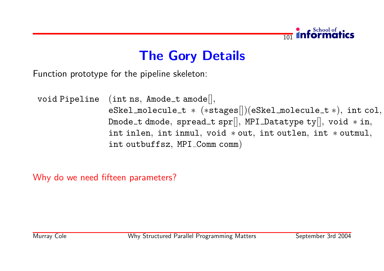

Function prototype for the pipeline skeleton:

void Pipeline (int ns, Amode\_t amode[], eSkel\_molecule\_t \* (\*stages[])(eSkel\_molecule\_t \*), int col, Dmode\_t dmode, spread\_t spr[], MPI\_Datatype ty[], void  $*$  in, int inlen, int inmul, void ∗ out, int outlen, int ∗ outmul, int outbuffsz, MPI Comm comm)

Why do we need fifteen parameters?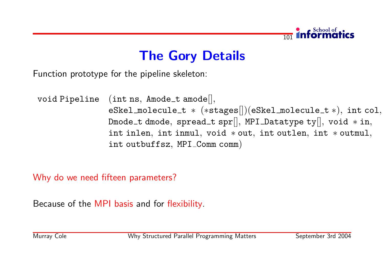

Function prototype for the pipeline skeleton:

void Pipeline (int ns, Amode\_t amode[], eSkel\_molecule\_t \* (\*stages[])(eSkel\_molecule\_t \*), int col, Dmode\_t dmode, spread\_t spr[], MPI\_Datatype ty[], void  $*$  in, int inlen, int inmul, void ∗ out, int outlen, int ∗ outmul, int outbuffsz, MPI Comm comm)

Why do we need fifteen parameters?

Because of the MPI basis and for flexibility.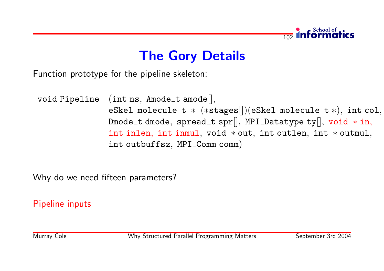

Function prototype for the pipeline skeleton:

void Pipeline (int ns, Amode\_t amode[], eSkel\_molecule\_t \* (\*stages[])(eSkel\_molecule\_t \*), int col, Dmode\_t dmode, spread\_t spr[], MPI\_Datatype ty[], void  $*$  in, int inlen, int inmul, void ∗ out, int outlen, int ∗ outmul, int outbuffsz, MPI Comm comm)

Why do we need fifteen parameters?

Pipeline inputs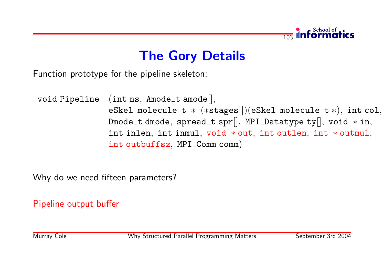

Function prototype for the pipeline skeleton:

void Pipeline (int ns, Amode\_t amode[], eSkel\_molecule\_t \* (\*stages[])(eSkel\_molecule\_t \*), int col, Dmode\_t dmode, spread\_t spr[], MPI\_Datatype ty[], void  $*$  in, int inlen, int inmul, void ∗ out, int outlen, int ∗ outmul, int outbuffsz, MPI Comm comm)

Why do we need fifteen parameters?

Pipeline output buffer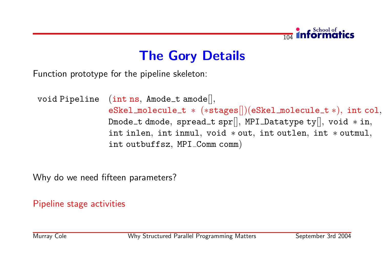

Function prototype for the pipeline skeleton:

void Pipeline (int ns, Amode\_t amode[], eSkel\_molecule\_t \* (\*stages[])(eSkel\_molecule\_t \*), int col, Dmode\_t dmode, spread\_t spr[], MPI\_Datatype ty[], void  $*$  in, int inlen, int inmul, void ∗ out, int outlen, int ∗ outmul, int outbuffsz, MPI Comm comm)

Why do we need fifteen parameters?

Pipeline stage activities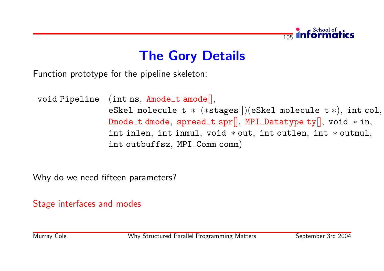

Function prototype for the pipeline skeleton:

void Pipeline (int ns,  $Amode\_t$  amode $[]$ , eSkel\_molecule\_t \* (\*stages[])(eSkel\_molecule\_t \*), int col, Dmode\_t dmode, spread\_t spr[], MPI\_Datatype ty[], void  $*$  in, int inlen, int inmul, void ∗ out, int outlen, int ∗ outmul, int outbuffsz, MPI Comm comm)

Why do we need fifteen parameters?

Stage interfaces and modes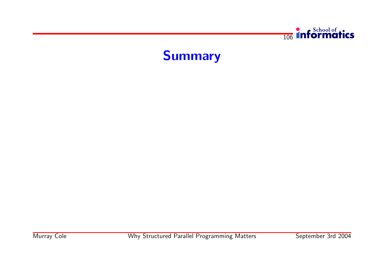

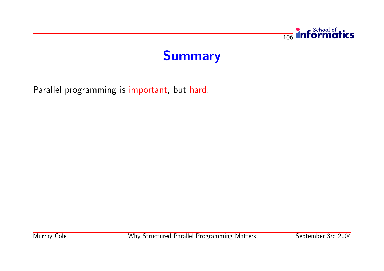

# Summary

Parallel programming is important, but hard.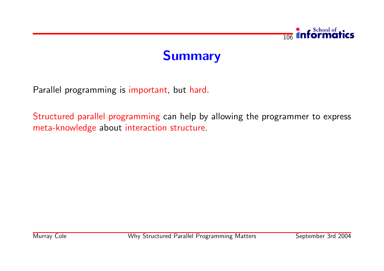



Parallel programming is important, but hard.

Structured parallel programming can help by allowing the programmer to express meta-knowledge about interaction structure.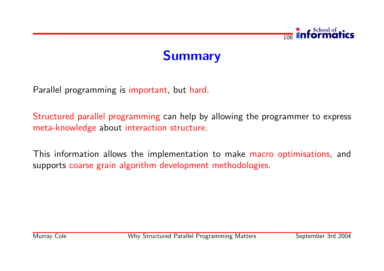



Parallel programming is important, but hard.

Structured parallel programming can help by allowing the programmer to express meta-knowledge about interaction structure.

This information allows the implementation to make macro optimisations, and supports coarse grain algorithm development methodologies.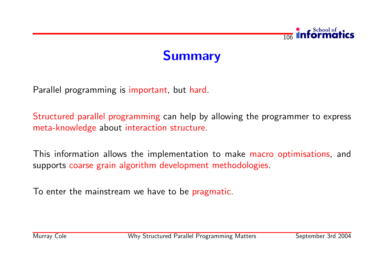



Parallel programming is important, but hard.

Structured parallel programming can help by allowing the programmer to express meta-knowledge about interaction structure.

This information allows the implementation to make macro optimisations, and supports coarse grain algorithm development methodologies.

To enter the mainstream we have to be pragmatic.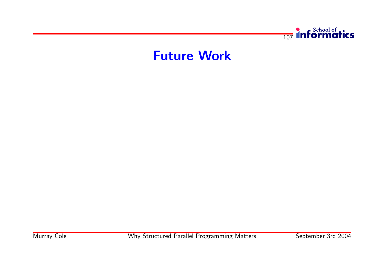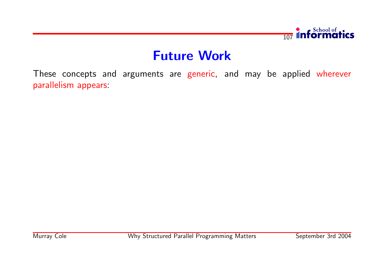

These concepts and arguments are generic, and may be applied wherever parallelism appears: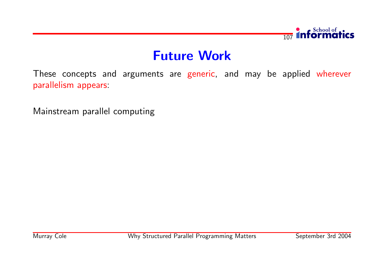

These concepts and arguments are generic, and may be applied wherever parallelism appears:

Mainstream parallel computing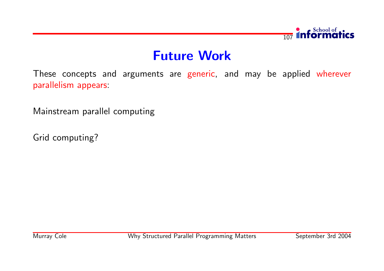

These concepts and arguments are generic, and may be applied wherever parallelism appears:

Mainstream parallel computing

Grid computing?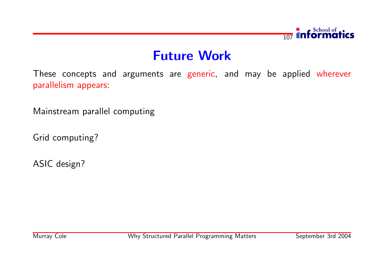

These concepts and arguments are generic, and may be applied wherever parallelism appears:

Mainstream parallel computing

Grid computing?

ASIC design?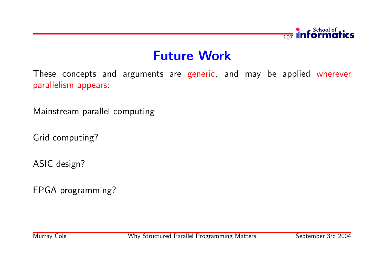

These concepts and arguments are generic, and may be applied wherever parallelism appears:

Mainstream parallel computing

Grid computing?

ASIC design?

FPGA programming?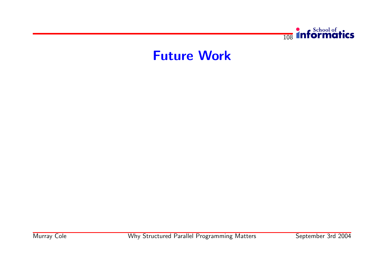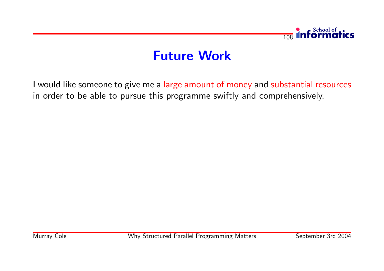

I would like someone to give me a large amount of money and substantial resources in order to be able to pursue this programme swiftly and comprehensively.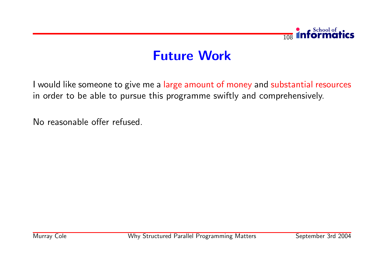

I would like someone to give me a large amount of money and substantial resources in order to be able to pursue this programme swiftly and comprehensively.

No reasonable offer refused.